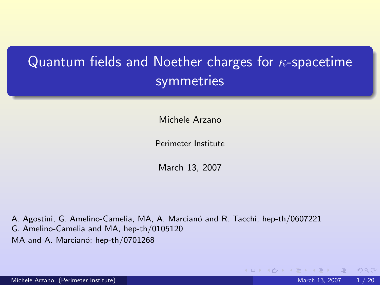# Quantum fields and Noether charges for  $\kappa$ -spacetime **symmetries**

Michele Arzano

Perimeter Institute

March 13, 2007

A. Agostini, G. Amelino-Camelia, MA, A. Marcianó and R. Tacchi, hep-th/0607221 G. Amelino-Camelia and MA, hep-th/0105120 MA and A. Marcianó; hep-th/0701268

<span id="page-0-0"></span> $QQQ$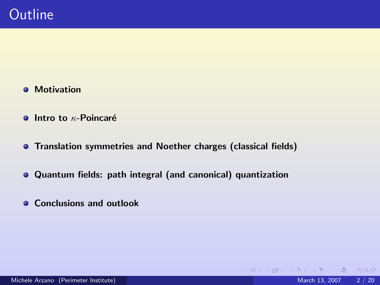- **•** Motivation
- $\bullet$  Intro to  $\kappa$ -Poincaré
- **Translation symmetries and Noether charges (classical fields)**
- Quantum fields: path integral (and canonical) quantization
- **Conclusions and outlook**

 $OQ$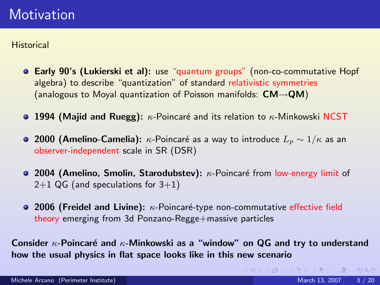**Historical** 

- Early 90's (Lukierski et al): use "quantum groups" (non-co-commutative Hopf algebra) to describe "quantization" of standard relativistic symmetries (analogous to Moyal quantization of Poisson manifolds:  $CM \rightarrow QM$ )
- **0 1994 (Majid and Ruegg):**  $\kappa$ -Poincaré and its relation to  $\kappa$ -Minkowski NCST
- **2000 (Amelino-Camelia):**  $\kappa$ -Poincaré as a way to introduce  $L_p \sim 1/\kappa$  as an observer-independent scale in SR (DSR)
- 2004 (Amelino, Smolin, Starodubstev): κ-Poincaré from low-energy limit of  $2+1$  QG (and speculations for  $3+1$ )
- **2006 (Freidel and Livine):**  $\kappa$ -Poincaré-type non-commutative effective field theory emerging from 3d Ponzano-Regge+massive particles

Consider  $\kappa$ -Poincaré and  $\kappa$ -Minkowski as a "window" on QG and try to understand how the usual physics in flat space looks like in this new scenario

イロン イ母ン イヨン イヨン ニヨー りんぺ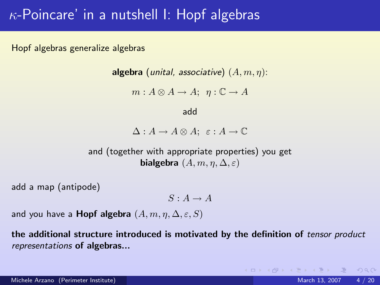# $\kappa$ -Poincare' in a nutshell I: Hopf algebras

Hopf algebras generalize algebras

**algebra** (unital, associative)  $(A, m, \eta)$ :

 $m : A \otimes A \rightarrow A; \ \eta : \mathbb{C} \rightarrow A$ 

#### add

 $\Delta: A \to A \otimes A$ ;  $\varepsilon: A \to \mathbb{C}$ 

and (together with appropriate properties) you get bialgebra  $(A, m, \eta, \Delta, \varepsilon)$ 

add a map (antipode)

 $S \cdot A \rightarrow A$ 

and you have a **Hopf algebra**  $(A, m, \eta, \Delta, \varepsilon, S)$ 

the additional structure introduced is motivated by the definition of tensor product representations of algebras...

 $\eta$ an

 $\mathcal{A} \otimes \mathcal{A} \rightarrow \mathcal{A} \otimes \mathcal{B} \rightarrow \mathcal{A} \otimes \mathcal{B} \rightarrow \mathcal{A} \otimes \mathcal{B} \rightarrow \mathcal{A} \otimes \mathcal{B}$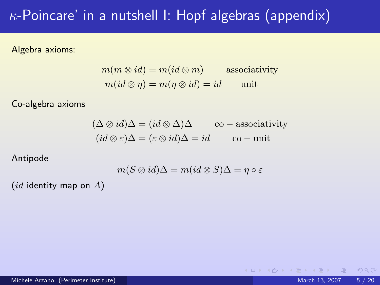# $\kappa$ -Poincare' in a nutshell I: Hopf algebras (appendix)

Algebra axioms:

$$
m(m \otimes id) = m(id \otimes m)
$$
associativity  

$$
m(id \otimes \eta) = m(\eta \otimes id) = id
$$
unit

Co-algebra axioms

$$
(\Delta \otimes id)\Delta = (id \otimes \Delta)\Delta \qquad \text{co}-\text{associativity}
$$
  

$$
(id \otimes \varepsilon)\Delta = (\varepsilon \otimes id)\Delta = id \qquad \text{co}-\text{unit}
$$

Antipode

$$
m(S \otimes id)\Delta = m(id \otimes S)\Delta = \eta \circ \varepsilon
$$

 $(id$  identity map on  $A)$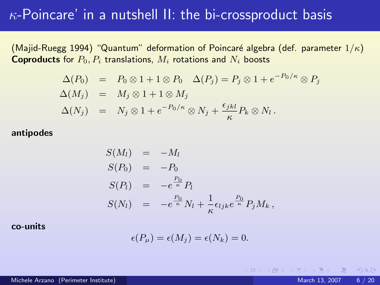### $\kappa$ -Poincare' in a nutshell II: the bi-crossproduct basis

(Majid-Ruegg 1994) "Quantum" deformation of Poincaré algebra (def. parameter  $1/\kappa$ ) **Coproducts** for  $P_0, P_i$  translations,  $M_i$  rotations and  $N_i$  boosts

$$
\Delta(P_0) = P_0 \otimes 1 + 1 \otimes P_0 \quad \Delta(P_j) = P_j \otimes 1 + e^{-P_0/\kappa} \otimes P_j
$$
  
\n
$$
\Delta(M_j) = M_j \otimes 1 + 1 \otimes M_j
$$
  
\n
$$
\Delta(N_j) = N_j \otimes 1 + e^{-P_0/\kappa} \otimes N_j + \frac{\epsilon_{jkl}}{\kappa} P_k \otimes N_l.
$$

#### antipodes

$$
S(M_l) = -M_l
$$
  
\n
$$
S(P_0) = -P_0
$$
  
\n
$$
S(P_l) = -e^{\frac{P_0}{\kappa}} P_l
$$
  
\n
$$
S(N_l) = -e^{\frac{P_0}{\kappa}} N_l + \frac{1}{\kappa} \epsilon_{ljk} e^{\frac{P_0}{\kappa}} P_j M_k,
$$

#### co-units

$$
\epsilon(P_{\mu})=\epsilon(M_j)=\epsilon(N_k)=0.
$$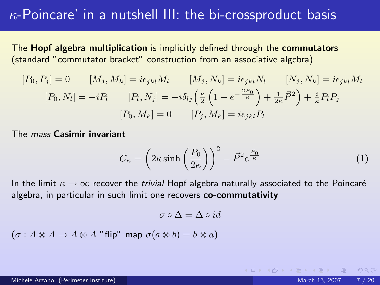# $\kappa$ -Poincare' in a nutshell III: the bi-crossproduct basis

The Hopf algebra multiplication is implicitly defined through the commutators (standard "commutator bracket" construction from an associative algebra)

$$
[P_0, P_j] = 0 \t[M_j, M_k] = i\epsilon_{jkl}M_l \t[M_j, N_k] = i\epsilon_{jkl}N_l \t[N_j, N_k] = i\epsilon_{jkl}M_l
$$

$$
[P_0, N_l] = -iP_l \t[P_l, N_j] = -i\delta_{lj}\left(\frac{\kappa}{2}\left(1 - e^{-\frac{2P_0}{\kappa}}\right) + \frac{1}{2\kappa}\vec{P}^2\right) + \frac{i}{\kappa}P_lP_j
$$

$$
[P_0, M_k] = 0 \t[P_j, M_k] = i\epsilon_{jkl}P_l
$$

The mass Casimir invariant

$$
C_{\kappa} = \left(2\kappa \sinh\left(\frac{P_0}{2\kappa}\right)\right)^2 - \vec{P}^2 e^{\frac{P_0}{\kappa}} \tag{1}
$$

In the limit  $\kappa \to \infty$  recover the *trivial* Hopf algebra naturally associated to the Poincaré algebra, in particular in such limit one recovers co-commutativity

$$
\sigma \circ \Delta = \Delta \circ id
$$

$$
(\sigma: A \otimes A \to A \otimes A \text{ "flip" map } \sigma(a \otimes b) = b \otimes a)
$$

 $\Omega$ 

K ロ ▶ K 倒 ▶ K 경 ▶ K 경 ▶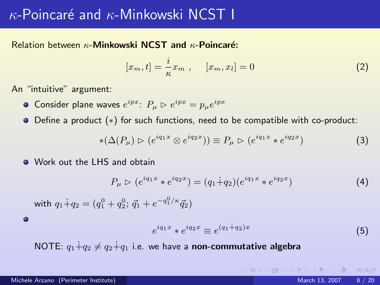### $\kappa$ -Poincaré and  $\kappa$ -Minkowski NCST I

### Relation between  $\kappa$ -Minkowski NCST and  $\kappa$ -Poincaré:

$$
[x_m, t] = \frac{i}{\kappa} x_m , \qquad [x_m, x_l] = 0
$$
 (2)

An "intuitive" argument:

- Consider plane waves  $e^{ipx}$ :  $P_{\mu} \rhd e^{ipx} = p_{\mu}e^{ipx}$
- Define a product (∗) for such functions, need to be compatible with co-product:

$$
*(\Delta(P_{\mu}) \triangleright (e^{iq_1x} \otimes e^{iq_2x})) \equiv P_{\mu} \triangleright (e^{iq_1x} * e^{iq_2x})
$$
\n(3)

**O** Work out the LHS and obtain

$$
P_{\mu} \triangleright (e^{iq_1x} * e^{iq_2x}) = (q_1 \dot{+} q_2)(e^{iq_1x} * e^{iq_2x}) \tag{4}
$$

with  $q_1 \dot{+} q_2 = (q_1^0 + q_2^0; \, \vec{q}_1 + e^{-q_1^0/\kappa} \vec{q}_2)$ 

 $\bullet$ 

$$
e^{iq_1x} * e^{iq_2x} \equiv e^{(q_1 \dot{+} q_2)x} \tag{5}
$$

NOTE:  $q_1+q_2 \neq q_2+q_1$  i.e. we have a non-commutative algebra

**KEIN KARA KEIN EI SA CA**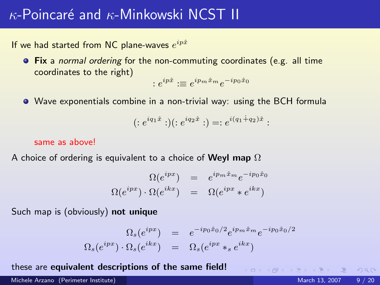### $\kappa$ -Poincaré and  $\kappa$ -Minkowski NCST II

If we had started from NC plane-waves  $e^{ip\hat{x}}$ 

**• Fix** a normal ordering for the non-commuting coordinates (e.g. all time coordinates to the right)

$$
:e^{ip\hat{x}}:\equiv e^{ip_m\hat{x}_m}e^{-ip_0\hat{x}_0}
$$

Wave exponentials combine in a non-trivial way: using the BCH formula

$$
(:e^{iq_1\hat{x}}:)(:e^{iq_2\hat{x}}:) = :e^{i(q_1+q_2)\hat{x}}:
$$

#### same as above!

A choice of ordering is equivalent to a choice of Weyl map  $\Omega$ 

$$
\Omega(e^{ipx}) = e^{ip_m \hat{x}_m} e^{-ip_0 \hat{x}_0}
$$
  

$$
\Omega(e^{ipx}) \cdot \Omega(e^{ikx}) = \Omega(e^{ipx} * e^{ikx})
$$

Such map is (obviously) not unique

$$
\Omega_s(e^{ipx}) = e^{-ip_0\hat{x}_0/2}e^{ip_m\hat{x}_m}e^{-ip_0\hat{x}_0/2}
$$
  

$$
\Omega_s(e^{ipx}) \cdot \Omega_s(e^{ikx}) = \Omega_s(e^{ipx} *_se^{ikx})
$$

these are equivalent descriptions of the same field!

Michele Arzano (Perimeter Institute) and March 13, 2007 9 / 20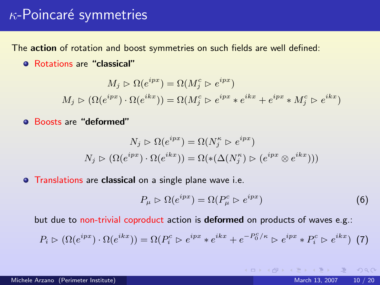### $\kappa$ -Poincaré symmetries

The action of rotation and boost symmetries on such fields are well defined:

Rotations are "classical"

$$
M_j \rhd \Omega(e^{ipx}) = \Omega(M_j^c \rhd e^{ipx})
$$
  

$$
M_j \rhd (\Omega(e^{ipx}) \cdot \Omega(e^{ikx})) = \Omega(M_j^c \rhd e^{ipx} * e^{ikx} + e^{ipx} * M_j^c \rhd e^{ikx})
$$

Boosts are "deformed"

$$
N_j \rhd \Omega(e^{ipx}) = \Omega(N_j^{\kappa} \rhd e^{ipx})
$$
  

$$
N_j \rhd (\Omega(e^{ipx}) \cdot \Omega(e^{ikx})) = \Omega(\ast(\Delta(N_j^{\kappa}) \rhd (e^{ipx} \otimes e^{ikx})))
$$

**• Translations are classical on a single plane wave i.e.** 

$$
P_{\mu} \rhd \Omega(e^{ipx}) = \Omega(P_{\mu}^c \rhd e^{ipx}) \tag{6}
$$

but due to non-trivial coproduct action is deformed on products of waves e.g.:

$$
P_i \rhd (\Omega(e^{ipx}) \cdot \Omega(e^{ikx})) = \Omega(P_i^c \rhd e^{ipx} * e^{ikx} + e^{-P_0^c/\kappa} \rhd e^{ipx} * P_i^c \rhd e^{ikx}) \tag{7}
$$

 $\Omega$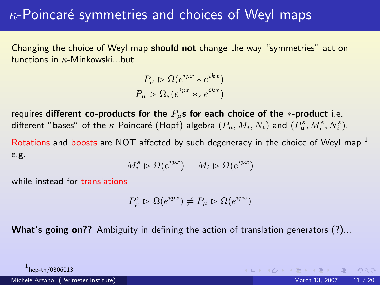# $\kappa$ -Poincaré symmetries and choices of Weyl maps

Changing the choice of Weyl map should not change the way "symmetries" act on functions in  $\kappa$ -Minkowski...but

$$
P_{\mu} \triangleright \Omega(e^{ipx} * e^{ikx})
$$
  

$$
P_{\mu} \triangleright \Omega_s(e^{ipx} *_{s} e^{ikx})
$$

requires different co-products for the  $P_{\mu}$ s for each choice of the ∗-product i.e. different "bases" of the  $\kappa$ -Poincaré (Hopf) algebra  $(P_\mu, M_i, N_i)$  and  $(P_\mu^s, M_i^s, N_i^s)$ .

Rotations and boosts are NOT affected by such degeneracy in the choice of Weyl map  $<sup>1</sup>$ </sup> e.g.

$$
M_i^s \rhd \Omega(e^{ipx}) = M_i \rhd \Omega(e^{ipx})
$$

while instead for **translations** 

$$
P_{\mu}^{s} \triangleright \Omega(e^{ipx}) \neq P_{\mu} \triangleright \Omega(e^{ipx})
$$

What's going on?? Ambiguity in defining the action of translation generators (?)...

<span id="page-10-0"></span> $\Omega$ 

 $^{\rm 1}$ hep-th/0306013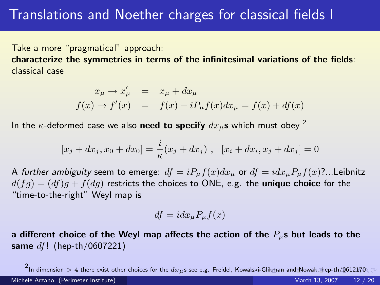Take a more "pragmatical" approach:

characterize the symmetries in terms of the infinitesimal variations of the fields: classical case

$$
x_{\mu} \rightarrow x'_{\mu} = x_{\mu} + dx_{\mu}
$$
  

$$
f(x) \rightarrow f'(x) = f(x) + iP_{\mu}f(x)dx_{\mu} = f(x) + df(x)
$$

In the  $\kappa$ -deformed case we also need to specify  $dx_{\mu}$ s which must obey <sup>2</sup>

$$
[x_j + dx_j, x_0 + dx_0] = \frac{i}{\kappa}(x_j + dx_j), \quad [x_i + dx_i, x_j + dx_j] = 0
$$

A further ambiguity seem to emerge:  $df = iP_\mu f(x)dx_\mu$  or  $df = idx_\mu P_\mu f(x)$ ?...Leibnitz  $d(fq) = (df)q + f(dq)$  restricts the choices to ONE, e.g. the unique choice for the "time-to-the-right" Weyl map is

<span id="page-11-0"></span>
$$
df = i dx_{\mu} P_{\mu} f(x)
$$

a different choice of the Weyl map affects the action of the  $P_{\mu}$ s but leads to the same  $df!$  (hep-th/0607221)

 $^2$ I[n](#page-12-0) dimension  $>4$  there exist other choices for the  $dx_\mu$ s see e.g. Freidel, K[owal](#page-10-0)s[ki-G](#page-12-0)[li](#page-10-0)[kma](#page-11-0)n [and](#page-0-0) [Now](#page-19-0)[ak,](#page-0-0) [hep-](#page-19-0)[th/](#page-0-0)[0612](#page-19-0)170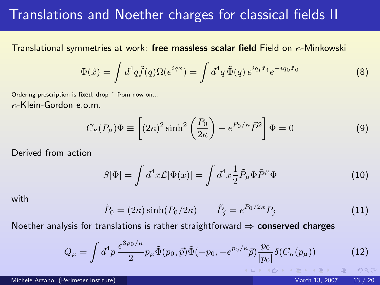## Translations and Noether charges for classical fields II

Translational symmetries at work: free massless scalar field Field on  $\kappa$ -Minkowski

$$
\Phi(\hat{x}) = \int d^4q \tilde{f}(q)\Omega(e^{iqx}) = \int d^4q \, \tilde{\Phi}(q) e^{iq_i \hat{x}_i} e^{-iq_0 \hat{x}_0} \tag{8}
$$

Ordering prescription is fixed, drop ^ from now on... κ-Klein-Gordon e.o.m.

$$
C_{\kappa}(P_{\mu})\Phi \equiv \left[ (2\kappa)^2 \sinh^2 \left( \frac{P_0}{2\kappa} \right) - e^{P_0/\kappa} \vec{P}^2 \right] \Phi = 0 \tag{9}
$$

Derived from action

$$
S[\Phi] = \int d^4x \mathcal{L}[\Phi(x)] = \int d^4x \frac{1}{2} \tilde{P}_{\mu} \Phi \tilde{P}^{\mu} \Phi \tag{10}
$$

with

<span id="page-12-0"></span>
$$
\tilde{P}_0 = (2\kappa)\sinh(P_0/2\kappa) \qquad \tilde{P}_j = e^{P_0/2\kappa} P_j \tag{11}
$$

Noether analysis for translations is rather straightforward  $\Rightarrow$  conserved charges

$$
Q_{\mu} = \int d^4 p \, \frac{e^{3p_0/\kappa}}{2} p_{\mu} \tilde{\Phi}(p_0, \vec{p}) \tilde{\Phi}(-p_0, -e^{p_0/\kappa} \vec{p}) \frac{p_0}{|p_0|} \delta(C_{\kappa}(p_{\mu})) \tag{12}
$$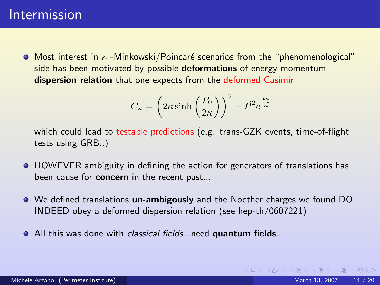### Intermission

 $\bullet$  Most interest in  $\kappa$  -Minkowski/Poincaré scenarios from the "phenomenological" side has been motivated by possible deformations of energy-momentum dispersion relation that one expects from the deformed Casimir

$$
C_{\kappa} = \left(2\kappa \sinh\left(\frac{P_0}{2\kappa}\right)\right)^2 - \vec{P}^2 e^{\frac{P_0}{\kappa}}
$$

which could lead to testable predictions (e.g. trans-GZK events, time-of-flight tests using GRB..)

- **HOWEVER** ambiguity in defining the action for generators of translations has been cause for **concern** in the recent past...
- We defined translations un-ambigously and the Noether charges we found DO INDEED obey a deformed dispersion relation (see hep-th/0607221)
- **•** All this was done with *classical fields*...need quantum fields...

<span id="page-13-0"></span> $OQ$ 

イロメ イ母メ イヨメ イヨメ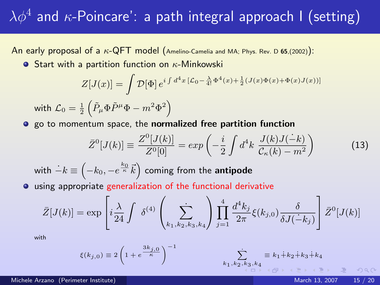# $\lambda \phi^4$  and  $\kappa$ -Poincare': a path integral approach I (setting)

An early proposal of a  $\kappa$ -QFT model (Amelino-Camelia and MA; Phys. Rev. D 65,(2002)):

**•** Start with a partition function on  $\kappa$ -Minkowski

$$
Z[J(x)] = \int \mathcal{D}[\Phi] e^{i \int d^4 x \left[ \mathcal{L}_0 - \frac{\lambda}{4!} \Phi^4(x) + \frac{1}{2} (J(x)\Phi(x) + \Phi(x)J(x)) \right]}
$$
  
with 
$$
\mathcal{L}_0 = \frac{1}{2} \left( \tilde{P}_{\mu} \Phi \tilde{P}^{\mu} \Phi - m^2 \Phi^2 \right)
$$

go to momentum space, the normalized free partition function

$$
\bar{Z}^{0}[J(k)] \equiv \frac{Z^{0}[J(k)]}{Z^{0}[0]} = exp\left(-\frac{i}{2}\int d^{4}k \frac{J(k)J(-k)}{\mathcal{C}_{\kappa}(k) - m^{2}}\right)
$$
(13)

with  $\dot{-k} \equiv \left(-k_0, -e^{\frac{k_0}{\kappa}} \vec{k}\right)$  coming from the antipode

using appropriate generalization of the functional derivative

$$
\bar{Z}[J(k)] = \exp\left[i\frac{\lambda}{24} \int \delta^{(4)}\left(\sum_{k_1,k_2,k_3,k_4}\right) \prod_{j=1}^4 \frac{d^4k_j}{2\pi} \xi(k_{j,0}) \frac{\delta}{\delta J(-k_j)}\right] \bar{Z}^0[J(k)]
$$

with

$$
\xi(k_{j,0}) \equiv 2\left(1 + e^{\frac{3k_{j,0}}{\kappa}}\right)^{-1} \qquad \qquad \sum_{k_1,k_2,k_3,k_4} \equiv k_1 + k_2 + k_3 + k_4
$$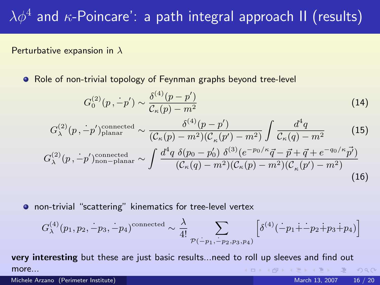# $\lambda \phi^4$  and  $\kappa$ -Poincare': a path integral approach II (results)

#### Perturbative expansion in  $\lambda$

Role of non-trivial topology of Feynman graphs beyond tree-level

$$
G_0^{(2)}(p, \dot{-}p') \sim \frac{\delta^{(4)}(p-p')}{\mathcal{C}_{\kappa}(p)-m^2} \tag{14}
$$

$$
G_{\lambda}^{(2)}(p, -p')^{\text{connected}}_{\text{planar}} \sim \frac{\delta^{(4)}(p-p')}{(\mathcal{C}_{\kappa}(p)-m^2)(\mathcal{C}_{\kappa}(p')-m^2)} \int \frac{d^4q}{\mathcal{C}_{\kappa}(q)-m^2} \tag{15}
$$

$$
G_{\lambda}^{(2)}(p, -p')^{\text{connected}}_{\text{confluct}
$$

$$
G_{\lambda}^{(2)}(p,-p')_{\text{non-planar}}^{\text{connected}} \sim \int \frac{d(q) \left(p_0 - p_0\right) b^{\alpha} (e^{\alpha} - q - p + q + e^{\alpha} - p)}{\left(\mathcal{C}_{\kappa}(q) - m^2\right) \left(\mathcal{C}_{\kappa}(p) - m^2\right) \left(\mathcal{C}_{\kappa}(p') - m^2\right)} \tag{16}
$$

non-trivial "scattering" kinematics for tree-level vertex

<span id="page-15-0"></span>
$$
G_{\lambda}^{(4)}(p_1, p_2, -p_3, -p_4)^{\text{connected}} \sim \frac{\lambda}{4!} \sum_{\mathcal{P}(-p_1, -p_2, p_3, p_4)} \left[ \delta^{(4)}(-p_1 + p_2 + p_3 + p_4) \right]
$$

very interesting but these are just basic results...need to roll up sleeves and find out more...  $PQQ$ 

Michele Arzano (Perimeter Institute) and March 13, 2007 16 / 20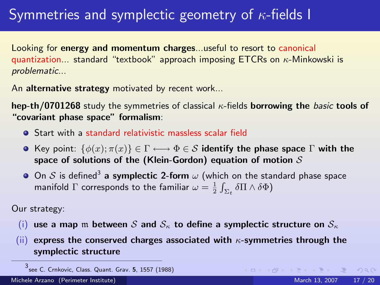# Symmetries and symplectic geometry of  $\kappa$ -fields I

Looking for energy and momentum charges...useful to resort to canonical quantization... standard "textbook" approach imposing ETCRs on  $\kappa$ -Minkowski is problematic...

An alternative strategy motivated by recent work...

hep-th/0701268 study the symmetries of classical  $\kappa$ -fields borrowing the basic tools of "covariant phase space" formalism:

- Start with a standard relativistic massless scalar field
- **•** Key point:  $\{\phi(x); \pi(x)\}\in \Gamma \longleftrightarrow \Phi \in \mathcal{S}$  identify the phase space  $\Gamma$  with the space of solutions of the (Klein-Gordon) equation of motion  $S$
- On  ${\cal S}$  is defined $^3$  a symplectic 2-form  $\omega$  (which on the standard phase space manifold  $\Gamma$  corresponds to the familiar  $\omega=\frac{1}{2}\int_{\Sigma_t} \delta \Pi \wedge \delta \Phi)$

Our strategy:

- (i) use a map m between S and  $S_{\kappa}$  to define a symplectic structure on  $S_{\kappa}$
- (ii) express the conserved charges associated with  $\kappa$ -symmetries through the symplectic structure

 $OQ$ 

(ロ) (部) (目) (目)

<sup>3</sup> see C. Crnkovic, Class. Quant. Grav. 5, 1557 (1988)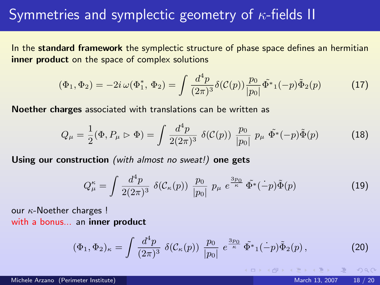## Symmetries and symplectic geometry of  $\kappa$ -fields II

In the standard framework the symplectic structure of phase space defines an hermitian inner product on the space of complex solutions

$$
(\Phi_1, \Phi_2) = -2i \,\omega(\Phi_1^*, \Phi_2) = \int \frac{d^4p}{(2\pi)^3} \delta(\mathcal{C}(p)) \frac{p_0}{|p_0|} \tilde{\Phi}^*_{1}(-p) \tilde{\Phi}_{2}(p) \tag{17}
$$

Noether charges associated with translations can be written as

$$
Q_{\mu} = \frac{1}{2} (\Phi, P_{\mu} \triangleright \Phi) = \int \frac{d^4 p}{2(2\pi)^3} \ \delta(\mathcal{C}(p)) \ \frac{p_0}{|p_0|} \ p_{\mu} \ \tilde{\Phi^*}(-p) \tilde{\Phi}(p) \tag{18}
$$

Using our construction (with almost no sweat!) one gets

$$
Q_{\mu}^{\kappa} = \int \frac{d^4 p}{2(2\pi)^3} \ \delta(\mathcal{C}_{\kappa}(p)) \ \frac{p_0}{|p_0|} \ p_{\mu} \ e^{\frac{3p_0}{\kappa}} \ \tilde{\Phi}^*(\dot{-p}) \tilde{\Phi}(p) \tag{19}
$$

our  $\kappa$ -Noether charges ! with a bonus... an inner product

$$
(\Phi_1, \Phi_2)_{\kappa} = \int \frac{d^4 p}{(2\pi)^3} \ \delta(\mathcal{C}_{\kappa}(p)) \ \frac{p_0}{|p_0|} \ e^{\frac{3p_0}{\kappa}} \ \tilde{\Phi^*}_1(\dot{-}p) \tilde{\Phi}_2(p) \,, \tag{20}
$$

nar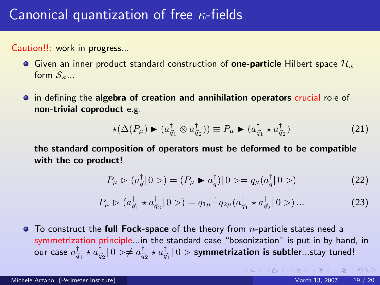# Canonical quantization of free  $\kappa$ -fields

Caution!!: work in progress...

- Given an inner product standard construction of one-particle Hilbert space  $\mathcal{H}_{\kappa}$ form  $S_{\kappa}$ ...
- in defining the algebra of creation and annihilation operators crucial role of non-trivial coproduct e.g.

$$
\star(\Delta(P_{\mu}) \blacktriangleright (a_{\vec{q}_1}^{\dagger} \otimes a_{\vec{q}_2}^{\dagger})) \equiv P_{\mu} \blacktriangleright (a_{\vec{q}_1}^{\dagger} \star a_{\vec{q}_2}^{\dagger})
$$
\n(21)

the standard composition of operators must be deformed to be compatible with the co-product!

$$
P_{\mu} \triangleright (a_{\vec{q}}^{\dagger}|0>) = (P_{\mu} \blacktriangleright a_{\vec{q}}^{\dagger})|0> = q_{\mu}(a_{\vec{q}}^{\dagger}|0>) \tag{22}
$$

$$
P_{\mu} \triangleright (a_{\vec{q}_1}^{\dagger} \star a_{\vec{q}_2}^{\dagger} | 0 > ) = q_{1\mu} \dot{+} q_{2\mu} (a_{\vec{q}_1}^{\dagger} \star a_{\vec{q}_2}^{\dagger} | 0 > ) \dots \tag{23}
$$

 $\bullet$  To construct the full Fock-space of the theory from *n*-particle states need a symmetrization principle...in the standard case "bosonization" is put in by hand, in our case  $a^\dagger_{\vec q_1}\star a^\dagger_{\vec q_2}|0>\neq a^\dagger_{\vec q_2}\star a^\dagger_{\vec q_1}|0>$  symmetrization is subtler...stay tuned!